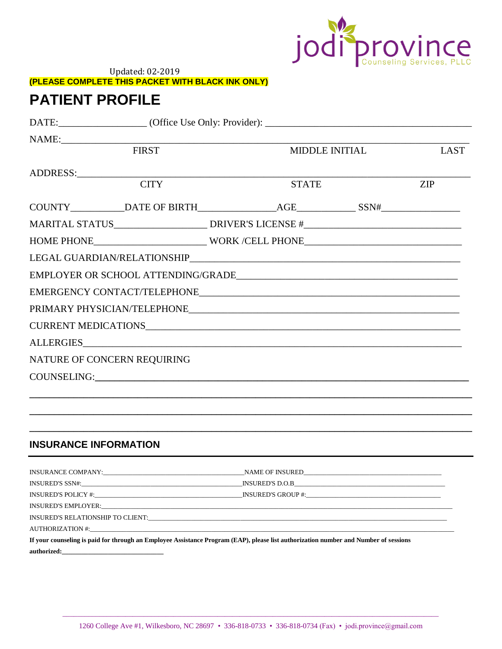

**Updated: 02-2019** (PLEASE COMPLETE THIS PACKET WITH BLACK INK ONLY)

# **PATIENT PROFILE**

|                              | NAME:        |                                                                                    |                |             |
|------------------------------|--------------|------------------------------------------------------------------------------------|----------------|-------------|
|                              | <b>FIRST</b> |                                                                                    | MIDDLE INITIAL | <b>LAST</b> |
|                              |              |                                                                                    |                |             |
|                              | <b>CITY</b>  | <b>STATE</b>                                                                       |                | ZIP         |
|                              |              | COUNTY____________DATE OF BIRTH________________AGE______________SSN#______________ |                |             |
|                              |              | MARITAL STATUS__________________________DRIVER'S LICENSE #_______________________  |                |             |
|                              |              | HOME PHONE_______________________________WORK /CELL PHONE________________________  |                |             |
|                              |              |                                                                                    |                |             |
|                              |              |                                                                                    |                |             |
|                              |              |                                                                                    |                |             |
|                              |              |                                                                                    |                |             |
|                              |              |                                                                                    |                |             |
|                              |              | ALLERGIES                                                                          |                |             |
| NATURE OF CONCERN REQUIRING  |              |                                                                                    |                |             |
|                              |              | COUNSELING: COUNSELING:                                                            |                |             |
|                              |              |                                                                                    |                |             |
|                              |              |                                                                                    |                |             |
|                              |              |                                                                                    |                |             |
| <b>INSURANCE INFORMATION</b> |              |                                                                                    |                |             |

| INSURANCE COMPANY:                                                                                                                   |  |  |  |
|--------------------------------------------------------------------------------------------------------------------------------------|--|--|--|
|                                                                                                                                      |  |  |  |
| INSURED'S POLICY #: INSURED'S GROUP #: INSURED'S GROUP #:                                                                            |  |  |  |
|                                                                                                                                      |  |  |  |
|                                                                                                                                      |  |  |  |
|                                                                                                                                      |  |  |  |
| If your counseling is paid for through an Employee Assistance Program (EAP), please list authorization number and Number of sessions |  |  |  |
| authorized:                                                                                                                          |  |  |  |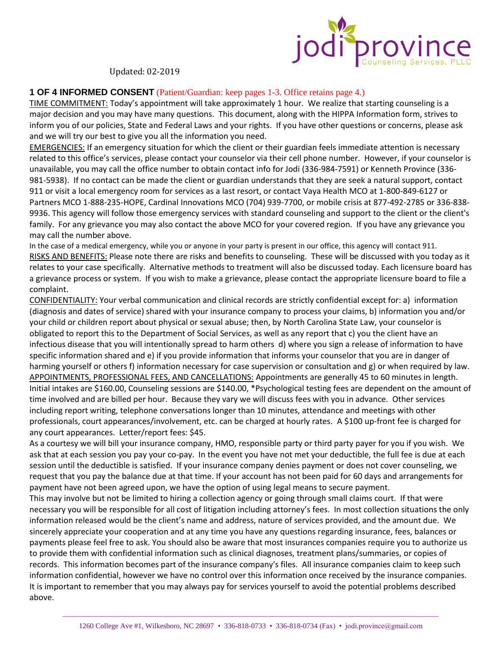

## **1 OF 4 INFORMED CONSENT** (Patient/Guardian: keep pages 1-3. Office retains page 4.)

TIME COMMITMENT: Today's appointment will take approximately 1 hour. We realize that starting counseling is a major decision and you may have many questions. This document, along with the HIPPA Information form, strives to inform you of our policies, State and Federal Laws and your rights. If you have other questions or concerns, please ask and we will try our best to give you all the information you need.

EMERGENCIES: If an emergency situation for which the client or their guardian feels immediate attention is necessary related to this office's services, please contact your counselor via their cell phone number. However, if your counselor is unavailable, you may call the office number to obtain contact info for Jodi (336-984-7591) or Kenneth Province (336- 981-5938). If no contact can be made the client or guardian understands that they are seek a natural support, contact 911 or visit a local emergency room for services as a last resort, or contact Vaya Health MCO at 1-800-849-6127 or Partners MCO 1-888-235-HOPE, Cardinal Innovations MCO (704) 939-7700, or mobile crisis at 877-492-2785 or 336-838- 9936. This agency will follow those emergency services with standard counseling and support to the client or the client's family. For any grievance you may also contact the above MCO for your covered region. If you have any grievance you may call the number above.

In the case of a medical emergency, while you or anyone in your party is present in our office, this agency will contact 911. RISKS AND BENEFITS: Please note there are risks and benefits to counseling. These will be discussed with you today as it relates to your case specifically. Alternative methods to treatment will also be discussed today. Each licensure board has a grievance process or system. If you wish to make a grievance, please contact the appropriate licensure board to file a complaint.

CONFIDENTIALITY: Your verbal communication and clinical records are strictly confidential except for: a) information (diagnosis and dates of service) shared with your insurance company to process your claims, b) information you and/or your child or children report about physical or sexual abuse; then, by North Carolina State Law, your counselor is obligated to report this to the Department of Social Services, as well as any report that c) you the client have an infectious disease that you will intentionally spread to harm others d) where you sign a release of information to have specific information shared and e) if you provide information that informs your counselor that you are in danger of harming yourself or others f) information necessary for case supervision or consultation and g) or when required by law. APPOINTMENTS, PROFESSIONAL FEES, AND CANCELLATIONS: Appointments are generally 45 to 60 minutes in length. Initial intakes are \$160.00, Counseling sessions are \$140.00, \*Psychological testing fees are dependent on the amount of time involved and are billed per hour. Because they vary we will discuss fees with you in advance. Other services including report writing, telephone conversations longer than 10 minutes, attendance and meetings with other professionals, court appearances/involvement, etc. can be charged at hourly rates. A \$100 up-front fee is charged for any court appearances. Letter/report fees: \$45.

As a courtesy we will bill your insurance company, HMO, responsible party or third party payer for you if you wish. We ask that at each session you pay your co-pay. In the event you have not met your deductible, the full fee is due at each session until the deductible is satisfied. If your insurance company denies payment or does not cover counseling, we request that you pay the balance due at that time. If your account has not been paid for 60 days and arrangements for payment have not been agreed upon, we have the option of using legal means to secure payment.

This may involve but not be limited to hiring a collection agency or going through small claims court. If that were necessary you will be responsible for all cost of litigation including attorney's fees. In most collection situations the only information released would be the client's name and address, nature of services provided, and the amount due. We sincerely appreciate your cooperation and at any time you have any questions regarding insurance, fees, balances or payments please feel free to ask. You should also be aware that most insurances companies require you to authorize us to provide them with confidential information such as clinical diagnoses, treatment plans/summaries, or copies of records. This information becomes part of the insurance company's files. All insurance companies claim to keep such information confidential, however we have no control over this information once received by the insurance companies. It is important to remember that you may always pay for services yourself to avoid the potential problems described above.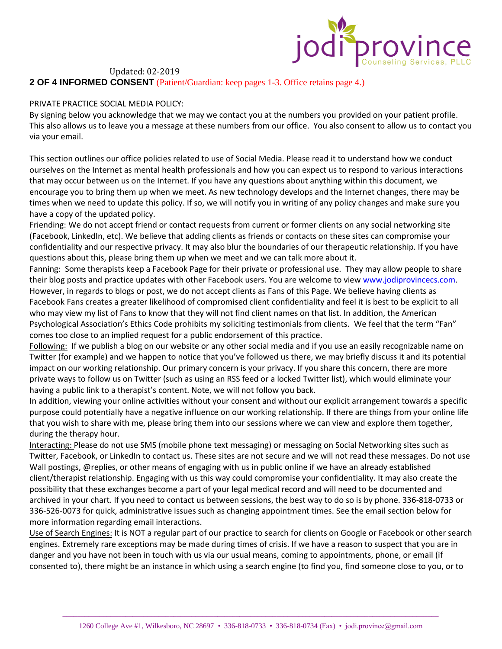

**2 OF 4 INFORMED CONSENT** (Patient/Guardian: keep pages 1-3. Office retains page 4.)

#### PRIVATE PRACTICE SOCIAL MEDIA POLICY:

By signing below you acknowledge that we may we contact you at the numbers you provided on your patient profile. This also allows us to leave you a message at these numbers from our office. You also consent to allow us to contact you via your email.

This section outlines our office policies related to use of Social Media. Please read it to understand how we conduct ourselves on the Internet as mental health professionals and how you can expect us to respond to various interactions that may occur between us on the Internet. If you have any questions about anything within this document, we encourage you to bring them up when we meet. As new technology develops and the Internet changes, there may be times when we need to update this policy. If so, we will notify you in writing of any policy changes and make sure you have a copy of the updated policy.

Friending: We do not accept friend or contact requests from current or former clients on any social networking site (Facebook, LinkedIn, etc). We believe that adding clients as friends or contacts on these sites can compromise your confidentiality and our respective privacy. It may also blur the boundaries of our therapeutic relationship. If you have questions about this, please bring them up when we meet and we can talk more about it.

Fanning: Some therapists keep a Facebook Page for their private or professional use. They may allow people to share their blog posts and practice updates with other Facebook users. You are welcome to vie[w www.jodiprovincecs.com.](http://www.jodiprovincecs.com/) However, in regards to blogs or post, we do not accept clients as Fans of this Page. We believe having clients as Facebook Fans creates a greater likelihood of compromised client confidentiality and feel it is best to be explicit to all who may view my list of Fans to know that they will not find client names on that list. In addition, the American Psychological Association's Ethics Code prohibits my soliciting testimonials from clients. We feel that the term "Fan" comes too close to an implied request for a public endorsement of this practice.

Following: If we publish a blog on our website or any other social media and if you use an easily recognizable name on Twitter (for example) and we happen to notice that you've followed us there, we may briefly discuss it and its potential impact on our working relationship. Our primary concern is your privacy. If you share this concern, there are more private ways to follow us on Twitter (such as using an RSS feed or a locked Twitter list), which would eliminate your having a public link to a therapist's content. Note, we will not follow you back.

In addition, viewing your online activities without your consent and without our explicit arrangement towards a specific purpose could potentially have a negative influence on our working relationship. If there are things from your online life that you wish to share with me, please bring them into our sessions where we can view and explore them together, during the therapy hour.

Interacting: Please do not use SMS (mobile phone text messaging) or messaging on Social Networking sites such as Twitter, Facebook, or LinkedIn to contact us. These sites are not secure and we will not read these messages. Do not use Wall postings, @replies, or other means of engaging with us in public online if we have an already established client/therapist relationship. Engaging with us this way could compromise your confidentiality. It may also create the possibility that these exchanges become a part of your legal medical record and will need to be documented and archived in your chart. If you need to contact us between sessions, the best way to do so is by phone. 336-818-0733 or 336-526-0073 for quick, administrative issues such as changing appointment times. See the email section below for more information regarding email interactions.

Use of Search Engines: It is NOT a regular part of our practice to search for clients on Google or Facebook or other search engines. Extremely rare exceptions may be made during times of crisis. If we have a reason to suspect that you are in danger and you have not been in touch with us via our usual means, coming to appointments, phone, or email (if consented to), there might be an instance in which using a search engine (to find you, find someone close to you, or to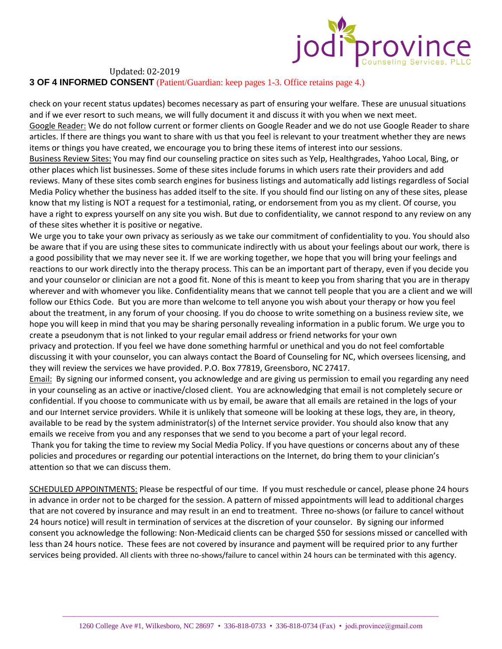

**3 OF 4 INFORMED CONSENT** (Patient/Guardian: keep pages 1-3. Office retains page 4.)

check on your recent status updates) becomes necessary as part of ensuring your welfare. These are unusual situations and if we ever resort to such means, we will fully document it and discuss it with you when we next meet. Google Reader: We do not follow current or former clients on Google Reader and we do not use Google Reader to share articles. If there are things you want to share with us that you feel is relevant to your treatment whether they are news items or things you have created, we encourage you to bring these items of interest into our sessions. Business Review Sites: You may find our counseling practice on sites such as Yelp, Healthgrades, Yahoo Local, Bing, or other places which list businesses. Some of these sites include forums in which users rate their providers and add reviews. Many of these sites comb search engines for business listings and automatically add listings regardless of Social Media Policy whether the business has added itself to the site. If you should find our listing on any of these sites, please know that my listing is NOT a request for a testimonial, rating, or endorsement from you as my client. Of course, you have a right to express yourself on any site you wish. But due to confidentiality, we cannot respond to any review on any of these sites whether it is positive or negative.

We urge you to take your own privacy as seriously as we take our commitment of confidentiality to you. You should also be aware that if you are using these sites to communicate indirectly with us about your feelings about our work, there is a good possibility that we may never see it. If we are working together, we hope that you will bring your feelings and reactions to our work directly into the therapy process. This can be an important part of therapy, even if you decide you and your counselor or clinician are not a good fit. None of this is meant to keep you from sharing that you are in therapy wherever and with whomever you like. Confidentiality means that we cannot tell people that you are a client and we will follow our Ethics Code. But you are more than welcome to tell anyone you wish about your therapy or how you feel about the treatment, in any forum of your choosing. If you do choose to write something on a business review site, we hope you will keep in mind that you may be sharing personally revealing information in a public forum. We urge you to create a pseudonym that is not linked to your regular email address or friend networks for your own

privacy and protection. If you feel we have done something harmful or unethical and you do not feel comfortable discussing it with your counselor, you can always contact the Board of Counseling for NC, which oversees licensing, and they will review the services we have provided. P.O. Box 77819, Greensboro, NC 27417.

Email: By signing our informed consent, you acknowledge and are giving us permission to email you regarding any need in your counseling as an active or inactive/closed client. You are acknowledging that email is not completely secure or confidential. If you choose to communicate with us by email, be aware that all emails are retained in the logs of your and our Internet service providers. While it is unlikely that someone will be looking at these logs, they are, in theory, available to be read by the system administrator(s) of the Internet service provider. You should also know that any emails we receive from you and any responses that we send to you become a part of your legal record.

Thank you for taking the time to review my Social Media Policy. If you have questions or concerns about any of these policies and procedures or regarding our potential interactions on the Internet, do bring them to your clinician's attention so that we can discuss them.

SCHEDULED APPOINTMENTS: Please be respectful of our time. If you must reschedule or cancel, please phone 24 hours in advance in order not to be charged for the session. A pattern of missed appointments will lead to additional charges that are not covered by insurance and may result in an end to treatment. Three no-shows (or failure to cancel without 24 hours notice) will result in termination of services at the discretion of your counselor. By signing our informed consent you acknowledge the following: Non-Medicaid clients can be charged \$50 for sessions missed or cancelled with less than 24 hours notice. These fees are not covered by insurance and payment will be required prior to any further services being provided. All clients with three no-shows/failure to cancel within 24 hours can be terminated with this agency.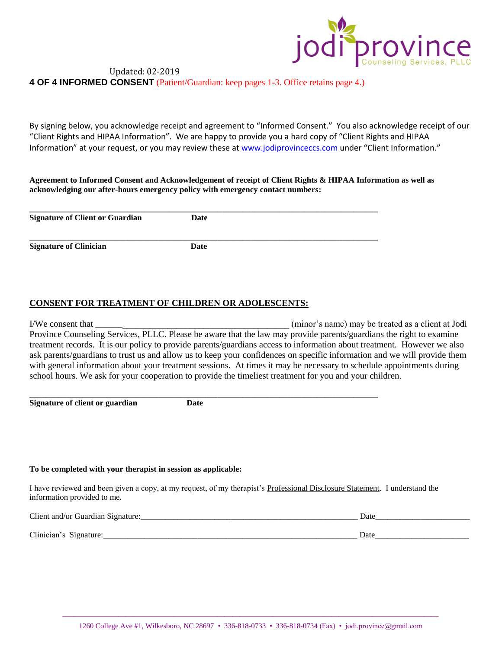

# Updated: 02-2019 **4 OF 4 INFORMED CONSENT** (Patient/Guardian: keep pages 1-3. Office retains page 4.)

By signing below, you acknowledge receipt and agreement to "Informed Consent." You also acknowledge receipt of our "Client Rights and HIPAA Information". We are happy to provide you a hard copy of "Client Rights and HIPAA Information" at your request, or you may review these a[t www.jodiprovinceccs.com](http://www.jodiprovinceccs.com/) under "Client Information."

## **Agreement to Informed Consent and Acknowledgement of receipt of Client Rights & HIPAA Information as well as acknowledging our after-hours emergency policy with emergency contact numbers:**

| <b>Signature of Client or Guardian</b> | Date |  |
|----------------------------------------|------|--|
| Signature of Clinician                 | Date |  |

## **CONSENT FOR TREATMENT OF CHILDREN OR ADOLESCENTS:**

I/We consent that \_\_\_\_\_\_\_\_\_\_\_\_\_\_\_\_\_\_\_\_\_\_\_\_\_\_\_\_\_\_\_\_\_\_\_\_\_\_\_\_\_\_\_ (minor's name) may be treated as a client at Jodi Province Counseling Services, PLLC. Please be aware that the law may provide parents/guardians the right to examine treatment records. It is our policy to provide parents/guardians access to information about treatment. However we also ask parents/guardians to trust us and allow us to keep your confidences on specific information and we will provide them with general information about your treatment sessions. At times it may be necessary to schedule appointments during school hours. We ask for your cooperation to provide the timeliest treatment for you and your children.

**Signature of client or guardian Date**

**\_\_\_\_\_\_\_\_\_\_\_\_\_\_\_\_\_\_\_\_\_\_\_\_\_\_\_\_\_\_\_\_\_\_\_\_\_\_\_\_\_\_\_\_\_\_\_\_\_\_\_\_\_\_\_\_\_\_\_\_\_\_\_\_\_\_\_\_\_\_\_\_\_\_\_\_\_\_\_\_\_\_\_\_\_**

#### **To be completed with your therapist in session as applicable:**

I have reviewed and been given a copy, at my request, of my therapist's Professional Disclosure Statement. I understand the information provided to me.

| Client and/or Guardian S<br>Signature | Date |
|---------------------------------------|------|
|                                       |      |
| Clinician'<br>$\sim$                  | Date |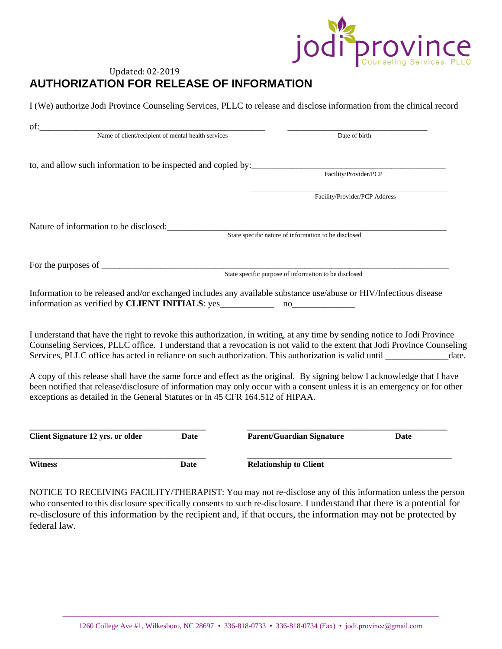

# Updated: 02-2019 **AUTHORIZATION FOR RELEASE OF INFORMATION**

I (We) authorize Jodi Province Counseling Services, PLLC to release and disclose information from the clinical record

| Name of client/recipient of mental health services<br>to, and allow such information to be inspected and copied by:<br>Facility/Provider/PCP<br>Facility/Provider/PCP Address<br>Nature of information to be disclosed:<br>State specific nature of information to be disclosed<br>State specific purpose of information to be disclosed<br>Information to be released and/or exchanged includes any available substance use/abuse or HIV/Infectious disease<br>I understand that have the right to revoke this authorization, in writing, at any time by sending notice to Jodi Province<br>Counseling Services, PLLC office. I understand that a revocation is not valid to the extent that Jodi Province Counseling<br>Services, PLLC office has acted in reliance on such authorization. This authorization is valid until ____________<br>A copy of this release shall have the same force and effect as the original. By signing below I acknowledge that I have<br>been notified that release/disclosure of information may only occur with a consent unless it is an emergency or for other<br>exceptions as detailed in the General Statutes or in 45 CFR 164.512 of HIPAA.<br><b>Client Signature 12 yrs. or older</b><br><b>Parent/Guardian Signature</b><br>Date<br><b>Date</b> | of:            |      |                               |
|---------------------------------------------------------------------------------------------------------------------------------------------------------------------------------------------------------------------------------------------------------------------------------------------------------------------------------------------------------------------------------------------------------------------------------------------------------------------------------------------------------------------------------------------------------------------------------------------------------------------------------------------------------------------------------------------------------------------------------------------------------------------------------------------------------------------------------------------------------------------------------------------------------------------------------------------------------------------------------------------------------------------------------------------------------------------------------------------------------------------------------------------------------------------------------------------------------------------------------------------------------------------------------------------|----------------|------|-------------------------------|
|                                                                                                                                                                                                                                                                                                                                                                                                                                                                                                                                                                                                                                                                                                                                                                                                                                                                                                                                                                                                                                                                                                                                                                                                                                                                                             |                |      | Date of birth                 |
|                                                                                                                                                                                                                                                                                                                                                                                                                                                                                                                                                                                                                                                                                                                                                                                                                                                                                                                                                                                                                                                                                                                                                                                                                                                                                             |                |      |                               |
|                                                                                                                                                                                                                                                                                                                                                                                                                                                                                                                                                                                                                                                                                                                                                                                                                                                                                                                                                                                                                                                                                                                                                                                                                                                                                             |                |      |                               |
|                                                                                                                                                                                                                                                                                                                                                                                                                                                                                                                                                                                                                                                                                                                                                                                                                                                                                                                                                                                                                                                                                                                                                                                                                                                                                             |                |      |                               |
|                                                                                                                                                                                                                                                                                                                                                                                                                                                                                                                                                                                                                                                                                                                                                                                                                                                                                                                                                                                                                                                                                                                                                                                                                                                                                             |                |      |                               |
|                                                                                                                                                                                                                                                                                                                                                                                                                                                                                                                                                                                                                                                                                                                                                                                                                                                                                                                                                                                                                                                                                                                                                                                                                                                                                             |                |      |                               |
|                                                                                                                                                                                                                                                                                                                                                                                                                                                                                                                                                                                                                                                                                                                                                                                                                                                                                                                                                                                                                                                                                                                                                                                                                                                                                             |                |      |                               |
|                                                                                                                                                                                                                                                                                                                                                                                                                                                                                                                                                                                                                                                                                                                                                                                                                                                                                                                                                                                                                                                                                                                                                                                                                                                                                             |                |      |                               |
|                                                                                                                                                                                                                                                                                                                                                                                                                                                                                                                                                                                                                                                                                                                                                                                                                                                                                                                                                                                                                                                                                                                                                                                                                                                                                             |                |      |                               |
|                                                                                                                                                                                                                                                                                                                                                                                                                                                                                                                                                                                                                                                                                                                                                                                                                                                                                                                                                                                                                                                                                                                                                                                                                                                                                             |                |      |                               |
|                                                                                                                                                                                                                                                                                                                                                                                                                                                                                                                                                                                                                                                                                                                                                                                                                                                                                                                                                                                                                                                                                                                                                                                                                                                                                             |                |      |                               |
|                                                                                                                                                                                                                                                                                                                                                                                                                                                                                                                                                                                                                                                                                                                                                                                                                                                                                                                                                                                                                                                                                                                                                                                                                                                                                             |                |      |                               |
|                                                                                                                                                                                                                                                                                                                                                                                                                                                                                                                                                                                                                                                                                                                                                                                                                                                                                                                                                                                                                                                                                                                                                                                                                                                                                             |                |      |                               |
|                                                                                                                                                                                                                                                                                                                                                                                                                                                                                                                                                                                                                                                                                                                                                                                                                                                                                                                                                                                                                                                                                                                                                                                                                                                                                             |                |      |                               |
|                                                                                                                                                                                                                                                                                                                                                                                                                                                                                                                                                                                                                                                                                                                                                                                                                                                                                                                                                                                                                                                                                                                                                                                                                                                                                             |                |      |                               |
|                                                                                                                                                                                                                                                                                                                                                                                                                                                                                                                                                                                                                                                                                                                                                                                                                                                                                                                                                                                                                                                                                                                                                                                                                                                                                             |                |      |                               |
|                                                                                                                                                                                                                                                                                                                                                                                                                                                                                                                                                                                                                                                                                                                                                                                                                                                                                                                                                                                                                                                                                                                                                                                                                                                                                             |                |      |                               |
|                                                                                                                                                                                                                                                                                                                                                                                                                                                                                                                                                                                                                                                                                                                                                                                                                                                                                                                                                                                                                                                                                                                                                                                                                                                                                             |                |      |                               |
|                                                                                                                                                                                                                                                                                                                                                                                                                                                                                                                                                                                                                                                                                                                                                                                                                                                                                                                                                                                                                                                                                                                                                                                                                                                                                             |                |      |                               |
|                                                                                                                                                                                                                                                                                                                                                                                                                                                                                                                                                                                                                                                                                                                                                                                                                                                                                                                                                                                                                                                                                                                                                                                                                                                                                             |                |      | date.                         |
|                                                                                                                                                                                                                                                                                                                                                                                                                                                                                                                                                                                                                                                                                                                                                                                                                                                                                                                                                                                                                                                                                                                                                                                                                                                                                             |                |      |                               |
|                                                                                                                                                                                                                                                                                                                                                                                                                                                                                                                                                                                                                                                                                                                                                                                                                                                                                                                                                                                                                                                                                                                                                                                                                                                                                             |                |      |                               |
|                                                                                                                                                                                                                                                                                                                                                                                                                                                                                                                                                                                                                                                                                                                                                                                                                                                                                                                                                                                                                                                                                                                                                                                                                                                                                             |                |      |                               |
|                                                                                                                                                                                                                                                                                                                                                                                                                                                                                                                                                                                                                                                                                                                                                                                                                                                                                                                                                                                                                                                                                                                                                                                                                                                                                             |                |      |                               |
|                                                                                                                                                                                                                                                                                                                                                                                                                                                                                                                                                                                                                                                                                                                                                                                                                                                                                                                                                                                                                                                                                                                                                                                                                                                                                             |                |      |                               |
|                                                                                                                                                                                                                                                                                                                                                                                                                                                                                                                                                                                                                                                                                                                                                                                                                                                                                                                                                                                                                                                                                                                                                                                                                                                                                             |                |      |                               |
|                                                                                                                                                                                                                                                                                                                                                                                                                                                                                                                                                                                                                                                                                                                                                                                                                                                                                                                                                                                                                                                                                                                                                                                                                                                                                             |                |      |                               |
|                                                                                                                                                                                                                                                                                                                                                                                                                                                                                                                                                                                                                                                                                                                                                                                                                                                                                                                                                                                                                                                                                                                                                                                                                                                                                             |                |      |                               |
|                                                                                                                                                                                                                                                                                                                                                                                                                                                                                                                                                                                                                                                                                                                                                                                                                                                                                                                                                                                                                                                                                                                                                                                                                                                                                             | <b>Witness</b> | Date | <b>Relationship to Client</b> |

NOTICE TO RECEIVING FACILITY/THERAPIST: You may not re-disclose any of this information unless the person who consented to this disclosure specifically consents to such re-disclosure. I understand that there is a potential for re-disclosure of this information by the recipient and, if that occurs, the information may not be protected by federal law.